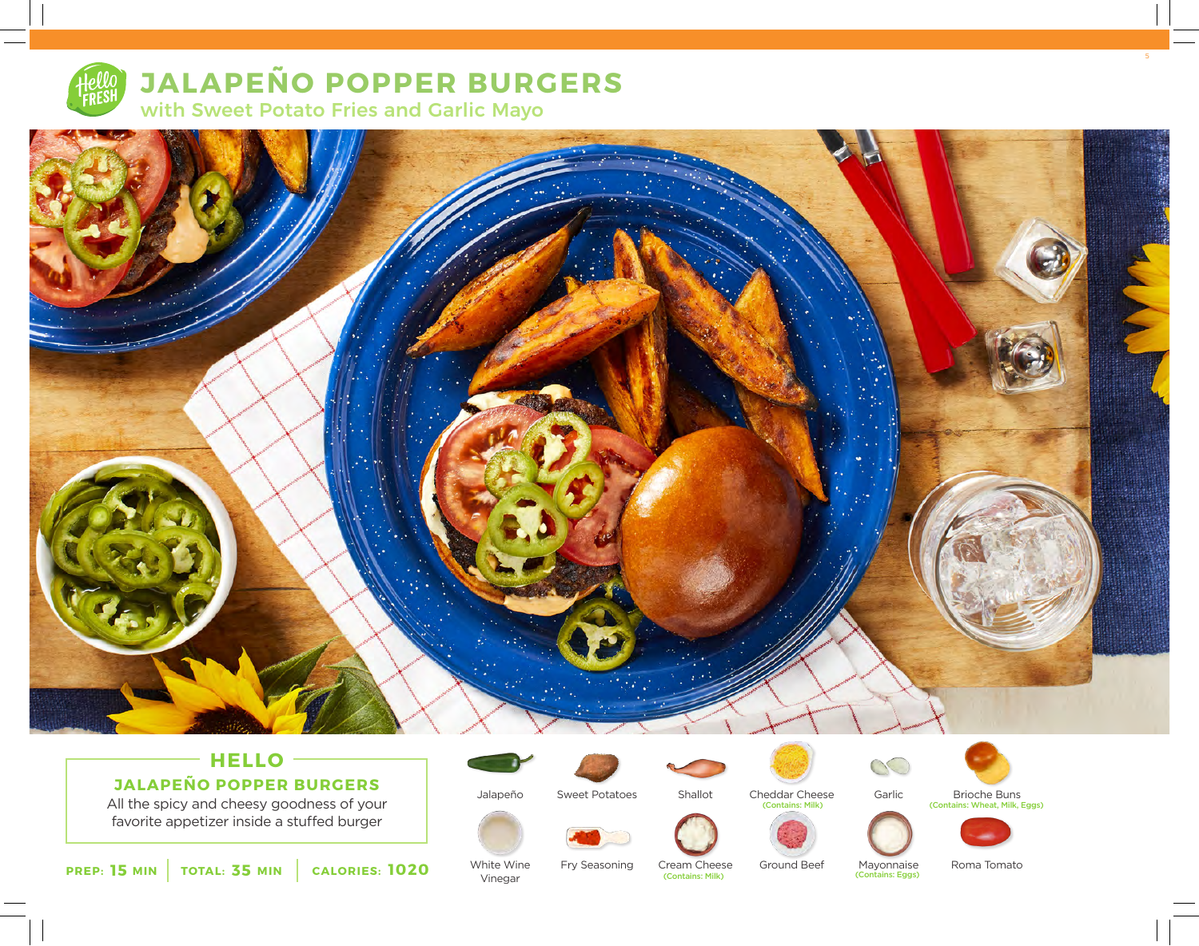

# **JALAPEÑO POPPER BURGERS**

with Sweet Potato Fries and Garlic Mayo



# **HELLO JALAPEÑO POPPER BURGERS**

All the spicy and cheesy goodness of your favorite appetizer inside a stuffed burger

**15 35 1020 PREP: MIN TOTAL: MIN CALORIES:**

Jalapeño





Cheddar Cheese (Contains: Milk)





Garlic

Mayonnaise

(Contains: Eggs)

(Contains: Wheat, Milk, Eggs)





Roma Tomato

White Wine Vinegar

Fry Seasoning

Ground Beef Cream Cheese<br> **Contains: Milk**)